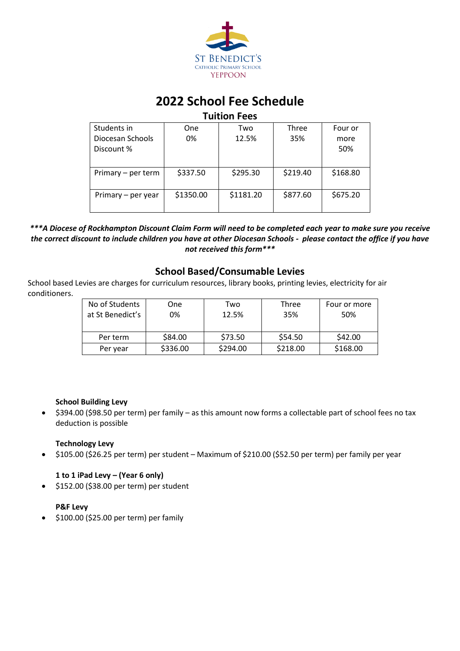

# **2022 School Fee Schedule**

# **Tuition Fees**

| Students in        | <b>One</b> | Two       | Three    | Four or  |
|--------------------|------------|-----------|----------|----------|
| Diocesan Schools   | 0%         | 12.5%     | 35%      | more     |
| Discount %         |            |           |          | 50%      |
|                    |            |           |          |          |
| Primary – per term | \$337.50   | \$295.30  | \$219.40 | \$168.80 |
|                    |            |           |          |          |
| Primary – per year | \$1350.00  | \$1181.20 | \$877.60 | \$675.20 |
|                    |            |           |          |          |

# *\*\*\*A Diocese of Rockhampton Discount Claim Form will need to be completed each year to make sure you receive the correct discount to include children you have at other Diocesan Schools - please contact the office if you have not received this form\*\*\**

# **School Based/Consumable Levies**

School based Levies are charges for curriculum resources, library books, printing levies, electricity for air conditioners.

| No of Students   | One      | Two      | Three    | Four or more |
|------------------|----------|----------|----------|--------------|
| at St Benedict's | 0%       | 12.5%    | 35%      | 50%          |
|                  |          |          |          |              |
| Per term         | \$84.00  | \$73.50  | \$54.50  | \$42.00      |
| Per year         | \$336.00 | \$294.00 | \$218.00 | \$168.00     |

# **School Building Levy**

• \$394.00 (\$98.50 per term) per family – as this amount now forms a collectable part of school fees no tax deduction is possible

# **Technology Levy**

• \$105.00 (\$26.25 per term) per student – Maximum of \$210.00 (\$52.50 per term) per family per year

# **1 to 1 iPad Levy – (Year 6 only)**

• \$152.00 (\$38.00 per term) per student

# **P&F Levy**

• \$100.00 (\$25.00 per term) per family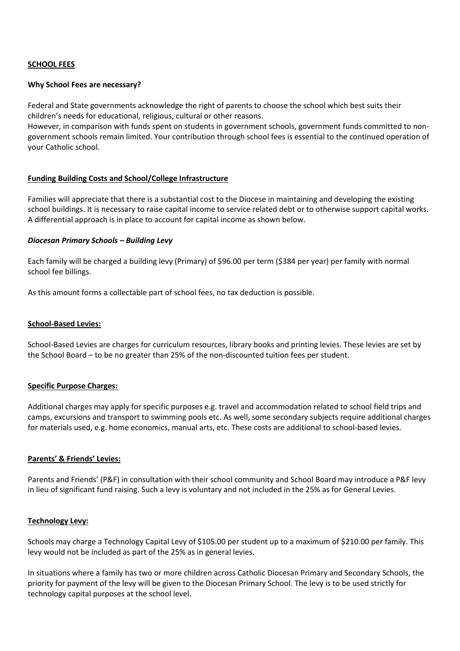# **SCHOOL FEES**

#### **Why School Fees are necessary?**

Federal and State governments acknowledge the right of parents to choose the school which best suits their children's needs for educational, religious, cultural or other reasons.

However, in comparison with funds spent on students in government schools, government funds committed to nongovernment schools remain limited. Your contribution through school fees is essential to the continued operation of your Catholic school.

# **Funding Building Costs and School/College Infrastructure**

Families will appreciate that there is a substantial cost to the Diocese in maintaining and developing the existing school buildings. It is necessary to raise capital income to service related debt or to otherwise support capital works. A differential approach is in place to account for capital income as shown below.

#### *Diocesan Primary Schools – Building Levy*

Each family will be charged a building levy (Primary) of \$96.00 per term (\$384 per year) per family with normal school fee billings.

As this amount forms a collectable part of school fees, no tax deduction is possible.

#### **School-Based Levies:**

School-Based Levies are charges for curriculum resources, library books and printing levies. These levies are set by the School Board – to be no greater than 25% of the non-discounted tuition fees per student.

# **Specific Purpose Charges:**

Additional charges may apply for specific purposes e.g. travel and accommodation related to school field trips and camps, excursions and transport to swimming pools etc. As well, some secondary subjects require additional charges for materials used, e.g. home economics, manual arts, etc. These costs are additional to school-based levies.

#### **Parents' & Friends' Levies:**

Parents and Friends' (P&F) in consultation with their school community and School Board may introduce a P&F levy in lieu of significant fund raising. Such a levy is voluntary and not included in the 25% as for General Levies.

#### **Technology Levy:**

Schools may charge a Technology Capital Levy of \$105.00 per student up to a maximum of \$210.00 per family. This levy would not be included as part of the 25% as in general levies.

In situations where a family has two or more children across Catholic Diocesan Primary and Secondary Schools, the priority for payment of the levy will be given to the Diocesan Primary School. The levy is to be used strictly for technology capital purposes at the school level.